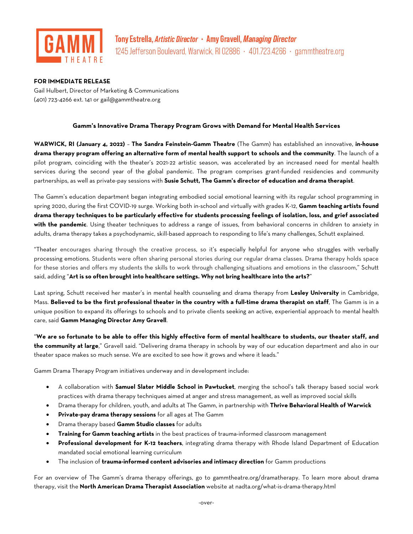

## **FOR IMMEDIATE RELEASE**

Gail Hulbert, Director of Marketing & Communications (401) 723-4266 ext. 141 or [gail@gammtheatre.org](mailto:gail@gammtheatre.org)

## **Gamm's Innovative Drama Therapy Program Grows with Demand for Mental Health Services**

**WARWICK, RI (January 4, 2022)** – **The Sandra Feinstein-Gamm Theatre** (The Gamm) has established an innovative, **in-house drama therapy program offering an alternative form of mental health support to schools and the community**. The launch of a pilot program, coinciding with the theater's 2021-22 artistic season, was accelerated by an increased need for mental health services during the second year of the global pandemic. The program comprises grant-funded residencies and community partnerships, as well as private-pay sessions with **Susie Schutt, The Gamm's director of education and drama therapist**.

The Gamm's education department began integrating embodied social emotional learning with its regular school programming in spring 2020, during the first COVID-19 surge. Working both in-school and virtually with grades K-12, **Gamm teaching artists found drama therapy techniques to be particularly effective for students processing feelings of isolation, loss, and grief associated with the pandemic**. Using theater techniques to address a range of issues, from behavioral concerns in children to anxiety in adults, drama therapy takes a psychodynamic, skill-based approach to responding to life's many challenges, Schutt explained.

"Theater encourages sharing through the creative process, so it's especially helpful for anyone who struggles with verbally processing emotions. Students were often sharing personal stories during our regular drama classes. Drama therapy holds space for these stories and offers my students the skills to work through challenging situations and emotions in the classroom," Schutt said, adding "**Art is so often brought into healthcare settings. Why not bring healthcare into the arts?**"

Last spring, Schutt received her master's in mental health counseling and drama therapy from **Lesley University** in Cambridge, Mass. **Believed to be the first professional theater in the country with a full-time drama therapist on staff**, The Gamm is in a unique position to expand its offerings to schools and to private clients seeking an active, experiential approach to mental health care, said **Gamm Managing Director Amy Gravell**.

"**We are so fortunate to be able to offer this highly effective form of mental healthcare to students, our theater staff, and the community at large**," Gravell said. "Delivering drama therapy in schools by way of our education department and also in our theater space makes so much sense. We are excited to see how it grows and where it leads."

Gamm Drama Therapy Program initiatives underway and in development include:

- A collaboration with **Samuel Slater Middle School in Pawtucket**, merging the school's talk therapy based social work practices with drama therapy techniques aimed at anger and stress management, as well as improved social skills
- Drama therapy for children, youth, and adults at The Gamm, in partnership with **Thrive Behavioral Health of Warwick**
- **Private-pay drama therapy sessions** for all ages at The Gamm
- Drama therapy based **Gamm Studio classes** for adults
- **Training for Gamm teaching artists** in the best practices of trauma-informed classroom management
- **Professional development for K-12 teachers**, integrating drama therapy with Rhode Island Department of Education mandated social emotional learning curriculum
- The inclusion of **trauma-informed content advisories and intimacy direction** for Gamm productions

For an overview of The Gamm's drama therapy offerings, go to gammtheatre.org/dramatherapy. To learn more about drama therapy, visit the **North American Drama Therapist Association** website at nadta.org/what-is-drama-therapy.html